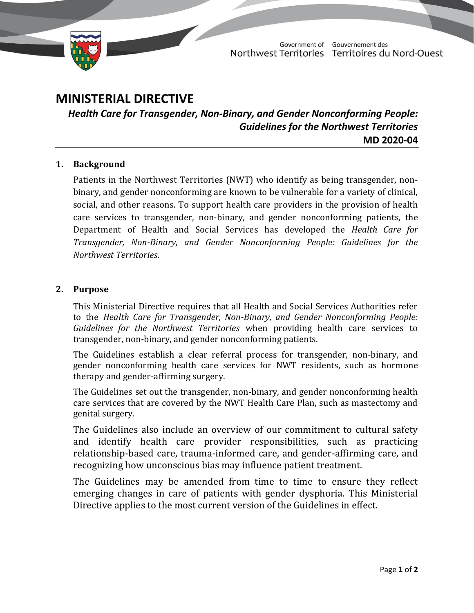

Government of Gouvernement des Northwest Territories Territoires du Nord-Ouest

# **MINISTERIAL DIRECTIVE**

*Health Care for Transgender, Non-Binary, and Gender Nonconforming People: Guidelines for the Northwest Territories* **MD 2020-04**

## **1. Background**

Patients in the Northwest Territories (NWT) who identify as being transgender, nonbinary, and gender nonconforming are known to be vulnerable for a variety of clinical, social, and other reasons. To support health care providers in the provision of health care services to transgender, non-binary, and gender nonconforming patients, the Department of Health and Social Services has developed the *Health Care for Transgender, Non-Binary, and Gender Nonconforming People: Guidelines for the Northwest Territories*.

## **2. Purpose**

This Ministerial Directive requires that all Health and Social Services Authorities refer to the *Health Care for Transgender, Non-Binary, and Gender Nonconforming People: Guidelines for the Northwest Territories* when providing health care services to transgender, non-binary, and gender nonconforming patients.

The Guidelines establish a clear referral process for transgender, non-binary, and gender nonconforming health care services for NWT residents, such as hormone therapy and gender-affirming surgery.

The Guidelines set out the transgender, non-binary, and gender nonconforming health care services that are covered by the NWT Health Care Plan, such as mastectomy and genital surgery.

The Guidelines also include an overview of our commitment to cultural safety and identify health care provider responsibilities, such as practicing relationship-based care, trauma-informed care, and gender-affirming care, and recognizing how unconscious bias may influence patient treatment.

The Guidelines may be amended from time to time to ensure they reflect emerging changes in care of patients with gender dysphoria. This Ministerial Directive applies to the most current version of the Guidelines in effect.